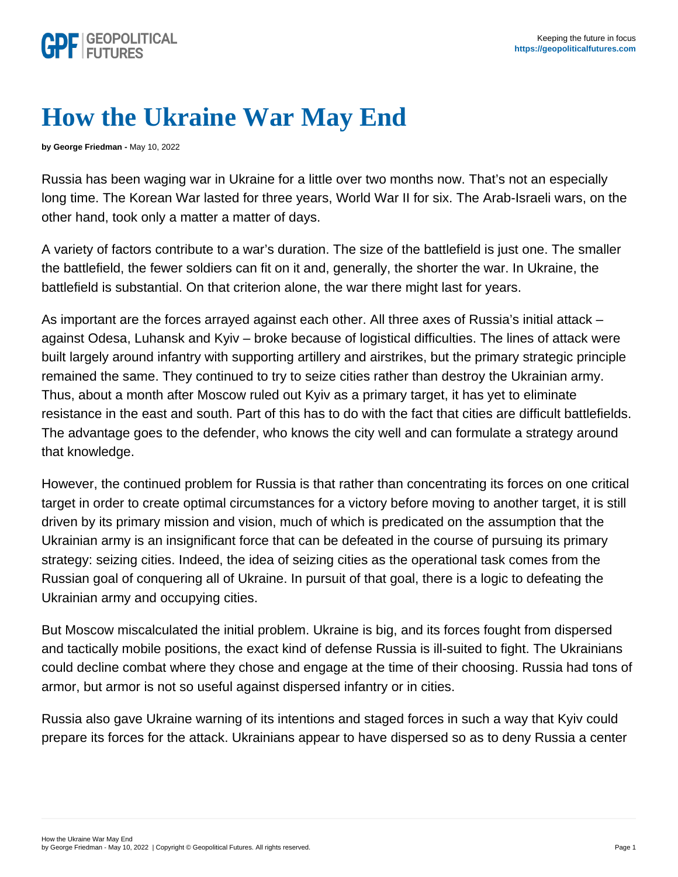## How the Ukraine War May End

by George Friedman - May 10, 2022

Russia has been waging war in Ukraine for a little over two months now. That's not an especially long time. The Korean War lasted for three years, World War II for six. The Arab-Israeli wars, on the other hand, took only a matter a matter of days.

A variety of factors contribute to a war's duration. The size of the battlefield is just one. The smaller the battlefield, the fewer soldiers can fit on it and, generally, the shorter the war. In Ukraine, the battlefield is substantial. On that criterion alone, the war there might last for years.

As important are the forces arrayed against each other. All three axes of Russia's initial attack – against Odesa, Luhansk and Kyiv – broke because of logistical difficulties. The lines of attack were built largely around infantry with supporting artillery and airstrikes, but the primary strategic principle remained the same. They continued to try to seize cities rather than destroy the Ukrainian army. Thus, about a month after Moscow ruled out Kyiv as a primary target, it has yet to eliminate resistance in the east and south. Part of this has to do with the fact that cities are difficult battlefields. The advantage goes to the defender, who knows the city well and can formulate a strategy around that knowledge.

However, the continued problem for Russia is that rather than concentrating its forces on one critical target in order to create optimal circumstances for a victory before moving to another target, it is still driven by its primary mission and vision, much of which is predicated on the assumption that the Ukrainian army is an insignificant force that can be defeated in the course of pursuing its primary strategy: seizing cities. Indeed, the idea of seizing cities as the operational task comes from the Russian goal of conquering all of Ukraine. In pursuit of that goal, there is a logic to defeating the Ukrainian army and occupying cities.

But Moscow miscalculated the initial problem. Ukraine is big, and its forces fought from dispersed and tactically mobile positions, the exact kind of defense Russia is ill-suited to fight. The Ukrainians could decline combat where they chose and engage at the time of their choosing. Russia had tons of armor, but armor is not so useful against dispersed infantry or in cities.

Russia also gave Ukraine warning of its intentions and staged forces in such a way that Kyiv could prepare its forces for the attack. Ukrainians appear to have dispersed so as to deny Russia a center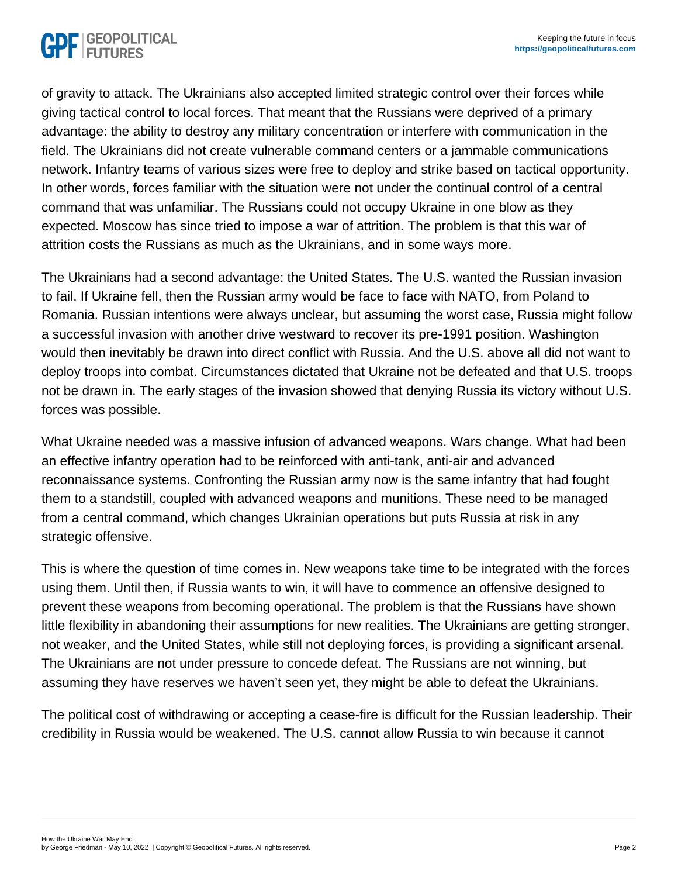of gravity to attack. The Ukrainians also accepted limited strategic control over their forces while giving tactical control to local forces. That meant that the Russians were deprived of a primary advantage: the ability to destroy any military concentration or interfere with communication in the field. The Ukrainians did not create vulnerable command centers or a jammable communications network. Infantry teams of various sizes were free to deploy and strike based on tactical opportunity. In other words, forces familiar with the situation were not under the continual control of a central command that was unfamiliar. The Russians could not occupy Ukraine in one blow as they expected. Moscow has since tried to impose a war of attrition. The problem is that this war of attrition costs the Russians as much as the Ukrainians, and in some ways more.

The Ukrainians had a second advantage: the United States. The U.S. wanted the Russian invasion to fail. If Ukraine fell, then the Russian army would be face to face with NATO, from Poland to Romania. Russian intentions were always unclear, but assuming the worst case, Russia might follow a successful invasion with another drive westward to recover its pre-1991 position. Washington would then inevitably be drawn into direct conflict with Russia. And the U.S. above all did not want to deploy troops into combat. Circumstances dictated that Ukraine not be defeated and that U.S. troops not be drawn in. The early stages of the invasion showed that denying Russia its victory without U.S. forces was possible.

What Ukraine needed was a massive infusion of advanced weapons. Wars change. What had been an effective infantry operation had to be reinforced with anti-tank, anti-air and advanced reconnaissance systems. Confronting the Russian army now is the same infantry that had fought them to a standstill, coupled with advanced weapons and munitions. These need to be managed from a central command, which changes Ukrainian operations but puts Russia at risk in any strategic offensive.

This is where the question of time comes in. New weapons take time to be integrated with the forces using them. Until then, if Russia wants to win, it will have to commence an offensive designed to prevent these weapons from becoming operational. The problem is that the Russians have shown little flexibility in abandoning their assumptions for new realities. The Ukrainians are getting stronger, not weaker, and the United States, while still not deploying forces, is providing a significant arsenal. The Ukrainians are not under pressure to concede defeat. The Russians are not winning, but assuming they have reserves we haven't seen yet, they might be able to defeat the Ukrainians.

The political cost of withdrawing or accepting a cease-fire is difficult for the Russian leadership. Their credibility in Russia would be weakened. The U.S. cannot allow Russia to win because it cannot